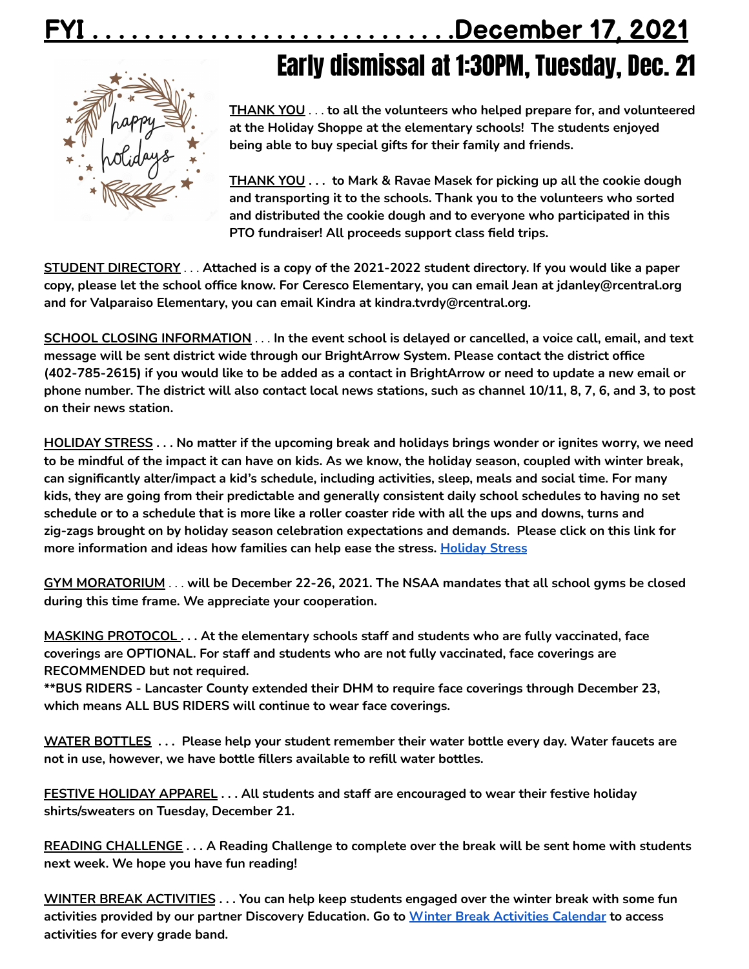## <u>December 17, 2021.</u>

## Early dismissal at 1:30PM, Tuesday, Dec. 21



**THANK YOU** . . . **to all the volunteers who helped prepare for, and volunteered at the Holiday Shoppe at the elementary schools! The students enjoyed being able to buy special gifts for their family and friends.**

**THANK YOU . . . to Mark & Ravae Masek for picking up all the cookie dough and transporting it to the schools. Thank you to the volunteers who sorted and distributed the cookie dough and to everyone who participated in this PTO fundraiser! All proceeds support class field trips.**

**STUDENT DIRECTORY** . . . **Attached is a copy of the 2021-2022 student directory. If you would like a paper copy, please let the school office know. For Ceresco Elementary, you can email Jean at jdanley@rcentral.org and for Valparaiso Elementary, you can email Kindra at kindra.tvrdy@rcentral.org.**

SCHOOL CLOSING INFORMATION . . . In the event school is delayed or cancelled, a voice call, email, and text **message will be sent district wide through our BrightArrow System. Please contact the district office** (402-785-2615) if you would like to be added as a contact in BrightArrow or need to update a new email or phone number. The district will also contact local news stations, such as channel 10/11, 8, 7, 6, and 3, to post **on their news station.**

HOLIDAY STRESS . . . No matter if the upcoming break and holidays brings wonder or ignites worry, we need to be mindful of the impact it can have on kids. As we know, the holiday season, coupled with winter break, **can significantly alter/impact a kid's schedule, including activities, sleep, meals and social time. For many** kids, they are going from their predictable and generally consistent daily school schedules to having no set schedule or to a schedule that is more like a roller coaster ride with all the ups and downs, turns and **zig-zags brought on by holiday season celebration expectations and demands. Please click on this link for more information and ideas how families can help ease the stress. [Holiday](https://scipnebraska.com/file_download/inline/7abd3cf5-d297-49a5-8c16-d9b5c5043b80) Stress**

**GYM MORATORIUM** . . . **will be December 22-26, 2021. The NSAA mandates that all school gyms be closed during this time frame. We appreciate your cooperation.**

**MASKING PROTOCOL . . . At the elementary schools staff and students who are fully vaccinated, face coverings are OPTIONAL. For staff and students who are not fully vaccinated, face coverings are RECOMMENDED but not required.**

**\*\*BUS RIDERS - Lancaster County extended their DHM to require face coverings through December 23, which means ALL BUS RIDERS will continue to wear face coverings.**

WATER BOTTLES ... Please help your student remember their water bottle every day. Water faucets are **not in use, however, we have bottle fillers available to refill water bottles.**

**FESTIVE HOLIDAY APPAREL . . . All students and staff are encouraged to wear their festive holiday shirts/sweaters on Tuesday, December 21.**

READING CHALLENGE . . . A Reading Challenge to complete over the break will be sent home with students **next week. We hope you have fun reading!**

WINTER BREAK ACTIVITIES . . . You can help keep students engaged over the winter break with some fun **activities provided by our partner Discovery Education. Go to Winter Break [Activities](https://www-media.discoveryeducation.com/wp-content/uploads/2021/11/Winter-Break-Calendars-EN.pdf) Calendar to access activities for every grade band.**